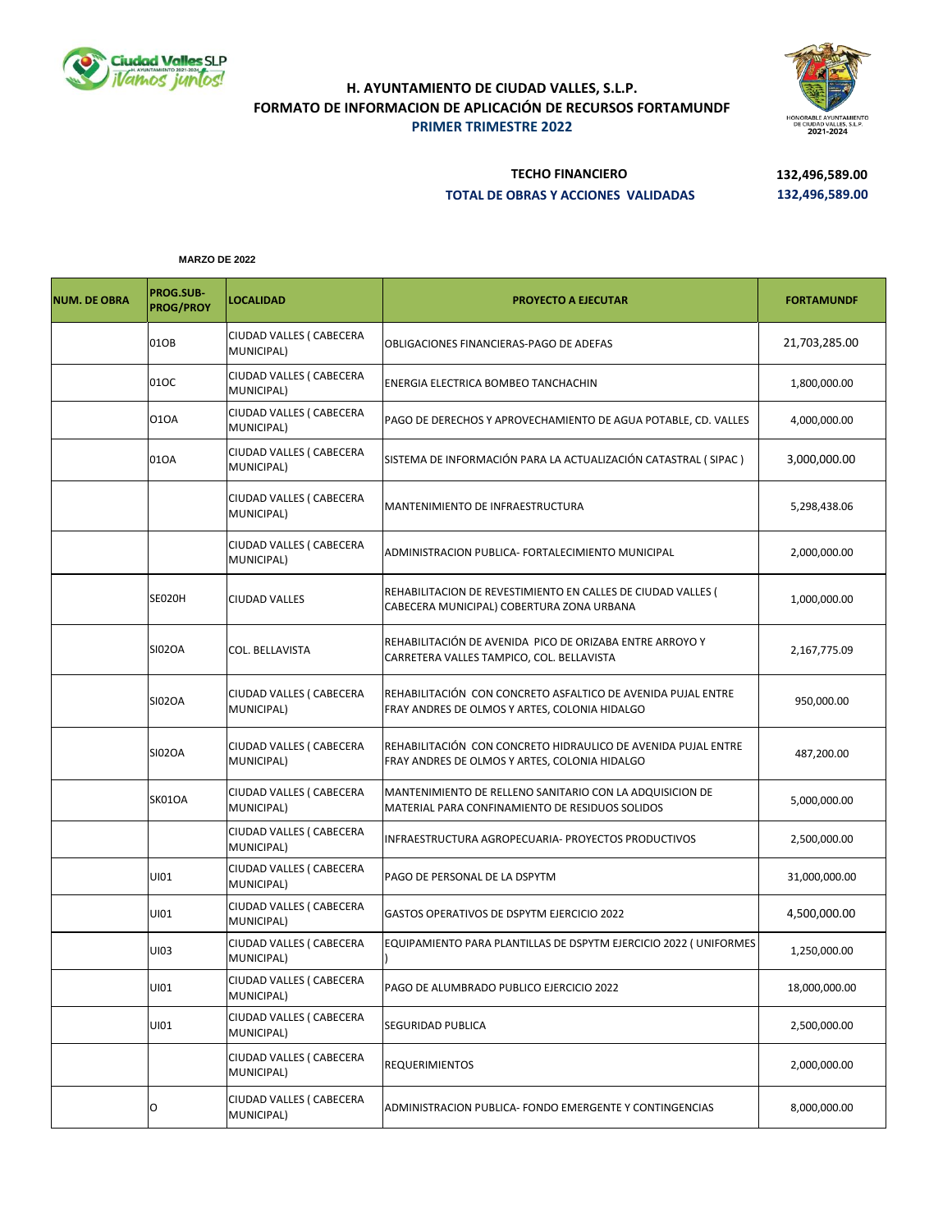



## **H. AYUNTAMIENTO DE CIUDAD VALLES, S.L.P. FORMATO DE INFORMACION DE APLICACIÓN DE RECURSOS FORTAMUNDF PRIMER TRIMESTRE 2022**

## **TECHO FINANCIERO 132,496,589.00 TOTAL DE OBRAS Y ACCIONES VALIDADAS 132,496,589.00**

**MARZO DE 2022**

| <b>NUM. DE OBRA</b> | PROG.SUB-<br><b>PROG/PROY</b> | <b>LOCALIDAD</b>                       | <b>PROYECTO A EJECUTAR</b>                                                                                     | <b>FORTAMUNDF</b> |
|---------------------|-------------------------------|----------------------------------------|----------------------------------------------------------------------------------------------------------------|-------------------|
|                     | 01OB                          | CIUDAD VALLES ( CABECERA<br>MUNICIPAL) | OBLIGACIONES FINANCIERAS-PAGO DE ADEFAS                                                                        | 21,703,285.00     |
|                     | 01OC                          | CIUDAD VALLES ( CABECERA<br>MUNICIPAL) | ENERGIA ELECTRICA BOMBEO TANCHACHIN                                                                            | 1,800,000.00      |
|                     | 010A                          | CIUDAD VALLES ( CABECERA<br>MUNICIPAL) | PAGO DE DERECHOS Y APROVECHAMIENTO DE AGUA POTABLE, CD. VALLES                                                 | 4,000,000.00      |
|                     | 010A                          | CIUDAD VALLES ( CABECERA<br>MUNICIPAL) | SISTEMA DE INFORMACIÓN PARA LA ACTUALIZACIÓN CATASTRAL ( SIPAC )                                               | 3,000,000.00      |
|                     |                               | CIUDAD VALLES ( CABECERA<br>MUNICIPAL) | MANTENIMIENTO DE INFRAESTRUCTURA                                                                               | 5,298,438.06      |
|                     |                               | CIUDAD VALLES ( CABECERA<br>MUNICIPAL) | ADMINISTRACION PUBLICA- FORTALECIMIENTO MUNICIPAL                                                              | 2,000,000.00      |
|                     | SE020H                        | <b>CIUDAD VALLES</b>                   | REHABILITACION DE REVESTIMIENTO EN CALLES DE CIUDAD VALLES (<br>CABECERA MUNICIPAL) COBERTURA ZONA URBANA      | 1,000,000.00      |
|                     | <b>SI02OA</b>                 | COL. BELLAVISTA                        | REHABILITACIÓN DE AVENIDA PICO DE ORIZABA ENTRE ARROYO Y<br>CARRETERA VALLES TAMPICO, COL. BELLAVISTA          | 2,167,775.09      |
|                     | SI02OA                        | CIUDAD VALLES ( CABECERA<br>MUNICIPAL) | REHABILITACIÓN CON CONCRETO ASFALTICO DE AVENIDA PUJAL ENTRE<br>FRAY ANDRES DE OLMOS Y ARTES, COLONIA HIDALGO  | 950,000.00        |
|                     | <b>SI02OA</b>                 | CIUDAD VALLES ( CABECERA<br>MUNICIPAL) | REHABILITACIÓN CON CONCRETO HIDRAULICO DE AVENIDA PUJAL ENTRE<br>FRAY ANDRES DE OLMOS Y ARTES, COLONIA HIDALGO | 487,200.00        |
|                     | SK01OA                        | CIUDAD VALLES ( CABECERA<br>MUNICIPAL) | MANTENIMIENTO DE RELLENO SANITARIO CON LA ADQUISICION DE<br>MATERIAL PARA CONFINAMIENTO DE RESIDUOS SOLIDOS    | 5,000,000.00      |
|                     |                               | CIUDAD VALLES ( CABECERA<br>MUNICIPAL) | INFRAESTRUCTURA AGROPECUARIA- PROYECTOS PRODUCTIVOS                                                            | 2,500,000.00      |
|                     | UI01                          | CIUDAD VALLES ( CABECERA<br>MUNICIPAL) | PAGO DE PERSONAL DE LA DSPYTM                                                                                  | 31,000,000.00     |
|                     | UI01                          | CIUDAD VALLES ( CABECERA<br>MUNICIPAL) | GASTOS OPERATIVOS DE DSPYTM EJERCICIO 2022                                                                     | 4,500,000.00      |
|                     | UI03                          | CIUDAD VALLES ( CABECERA<br>MUNICIPAL) | EQUIPAMIENTO PARA PLANTILLAS DE DSPYTM EJERCICIO 2022 (UNIFORMES                                               | 1,250,000.00      |
|                     | UI01                          | CIUDAD VALLES ( CABECERA<br>MUNICIPAL) | PAGO DE ALUMBRADO PUBLICO EJERCICIO 2022                                                                       | 18,000,000.00     |
|                     | UI01                          | CIUDAD VALLES ( CABECERA<br>MUNICIPAL) | <b>SEGURIDAD PUBLICA</b>                                                                                       | 2,500,000.00      |
|                     |                               | CIUDAD VALLES ( CABECERA<br>MUNICIPAL) | REQUERIMIENTOS                                                                                                 | 2,000,000.00      |
|                     | O                             | CIUDAD VALLES ( CABECERA<br>MUNICIPAL) | ADMINISTRACION PUBLICA- FONDO EMERGENTE Y CONTINGENCIAS                                                        | 8,000,000.00      |